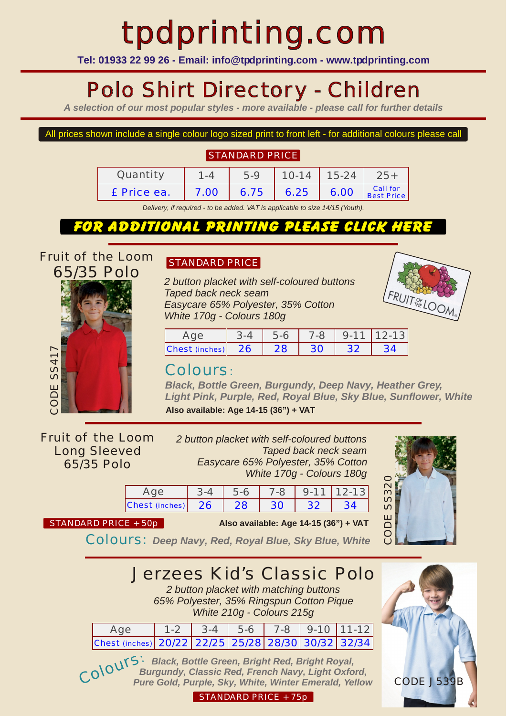# tpdprinting.com

**Tel: 01933 22 99 26 - Email: info@tpdprinting.com - www.tpdprinting.com**

# Polo Shirt Directory - Children

*A selection of our most popular styles - more available - please call for further details*

#### All prices shown include a single colour logo sized print to front left - for additional colours please call

### STANDARD PRICE

| Quantity    |      | $5-9$ | $10-14$ 15-24 |             | $25+$                  |
|-------------|------|-------|---------------|-------------|------------------------|
| £ Price ea. | 7.00 | 6.75  |               | $6.25$ 6.00 | Call for<br>Best Price |

*Delivery, if required - to be added. VAT is applicable to size 14/15 (Youth).*

### FOR ADDITIONAL PRINTING PLEASE CLICK HERE

*Fruit of the Loom 65/35 Polo*



### STANDARD PRICE

*2 button placket with self-coloured buttons Taped back neck seam Easycare 65% Polyester, 35% Cotton White 170g - Colours 180g*



|                   | $.5-6$     |                | $7-8$ 9-11 12-13 |  |
|-------------------|------------|----------------|------------------|--|
| Chest (inches) 26 | $\vert$ 28 | $\frac{1}{30}$ | $\frac{1}{32}$   |  |

### Colours:

*Black, Bottle Green, Burgundy, Deep Navy, Heather Grey, Light Pink, Purple, Red, Royal Blue, Sky Blue, Sunflower, White* **Also available: Age 14-15 (36") + VAT**

*Fruit of the Loom Long Sleeved 65/35 Polo*

*2 button placket with self-coloured buttons Taped back neck seam Easycare 65% Polyester, 35% Cotton White 170g - Colours 180g*

|                               | $5 - 6$ |     |           | $7-8$   9-11   12-13 |
|-------------------------------|---------|-----|-----------|----------------------|
| $ {\rm Chest}$ (inches) $ 26$ | $-28$   | -30 | $\sim$ 32 |                      |



CODE J539B

Co

STANDARD PRICE + 50p **Also available: Age 14-15 (36") + VAT**

Colours: *Deep Navy, Red, Royal Blue, Sky Blue, White*

Jerzees Kid's Classic Polo

*2 button placket with matching buttons 65% Polyester, 35% Ringspun Cotton Pique White 210g - Colours 215g*

| Age                                                | $1-2$ 3-4 5-6 7-8 9-10 11-12 |  |  |
|----------------------------------------------------|------------------------------|--|--|
| Chest (inches) 20/22 22/25 25/28 28/30 30/32 32/34 |                              |  |  |

lours: *Black, Bottle Green, Bright Red, Bright Royal, Burgundy, Classic Red, French Navy, Light Oxford, Pure Gold, Purple, Sky, White, Winter Emerald, Yellow*

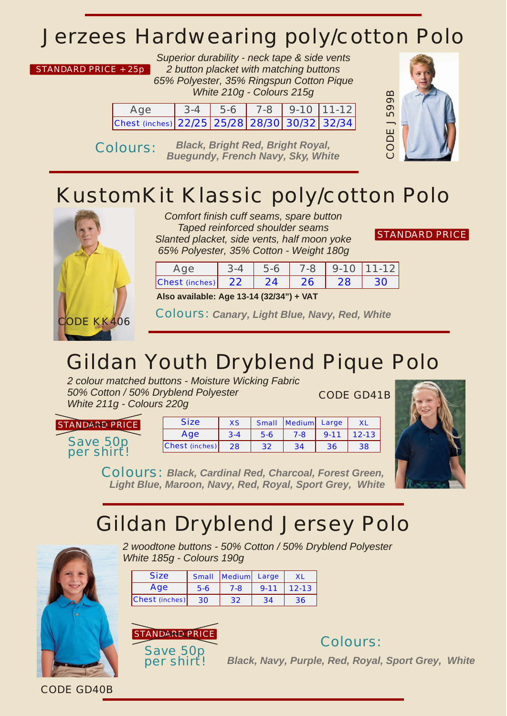### *Jerzees Hardwearing poly/cotton Polo*

#### STANDARD PRICE + 25p

*Superior durability - neck tape & side vents 2 button placket with matching buttons 65% Polyester, 35% Ringspun Cotton Pique White 210g - Colours 215g*

| Age                                          | $3-4$ 5-6 |  | $7-8$   9-10   11-12 |
|----------------------------------------------|-----------|--|----------------------|
| Chest (inches) 22/25 25/28 28/30 30/32 32/34 |           |  |                      |

Colours: *Black, Bright Red, Bright Royal, Buegundy, French Navy, Sky, White*



# *KustomKit Klassic poly/cotton Polo*



*Comfort finish cuff seams, spare button Taped reinforced shoulder seams Slanted placket, side vents, half moon yoke 65% Polyester, 35% Cotton - Weight 180g*

| STANDARD PRICE |  |
|----------------|--|
|                |  |

|                   |  | $7-8$   9-10   11-12 |  |
|-------------------|--|----------------------|--|
| Chest (inches) 22 |  |                      |  |

**Also available: Age 13-14 (32/34") + VAT**

Colours: *Canary, Light Blue, Navy, Red, White*

# *Gildan Youth Dryblend Pique Polo*

*2 colour matched buttons - Moisture Wicking Fabric 50% Cotton / 50% Dryblend Polyester White 211g - Colours 220g*

CODE GD41B

Save 50p per shirt! STANDARD PRICE

| <b>Size</b>    | XS      |       | Small Medium Large |          |           |
|----------------|---------|-------|--------------------|----------|-----------|
| Age            | $3 - 4$ | $5-6$ | 7-8                | $9 - 11$ | $12 - 13$ |
| Chest (inches) | 28      | 32    | 34                 | 36       | 38        |



Colours: *Black, Cardinal Red, Charcoal, Forest Green, Light Blue, Maroon, Navy, Red, Royal, Sport Grey, White*

### *Gildan Dryblend Jersey Polo*



*2 woodtone buttons - 50% Cotton / 50% Dryblend Polyester White 185g - Colours 190g*

| <b>Size</b>    |     | Small   Medium   Large |          | <b>XL</b> |
|----------------|-----|------------------------|----------|-----------|
| Age            | 5-6 | $7 - 8$                | $9 - 11$ | $12 - 13$ |
| Chest (inches) | 30  | 32                     | 34       | 36        |



per shirt!

Colours:

*Black, Navy, Purple, Red, Royal, Sport Grey, White*